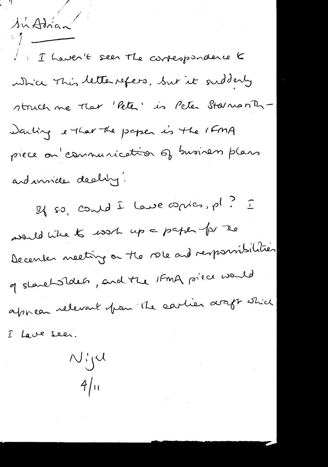*'r*/ <sup>~</sup> I Thaven't seen the correspondence to whice This letter refers, but it oudderly struch ne that 'Pete' is Peter Starnonth-')ClA-k'J J. *'-(t.-f ~* f> ~ ~ '-f-1..-.rL *(H'nA* piece on communication of business plans and invices dealing.

 $A^{\prime}$  Adrian<sup></sup>

 $g$ {  $\wp$ ,  $\mathcal{C}$  and  $\hat{L}$  leve  $\mathcal{C}$  pies, pl?  $\hat{L}$ *~ c.:'k.st..t; ~* v...p Co- *p~* -1?/ *'1L.J2* becenser neeting on the role and responsibilities of shareholders, and the 1FmA po<sup>rce would</sup> appear relevant from the cartier araft which I Lave seen.

Niju

 $4/u$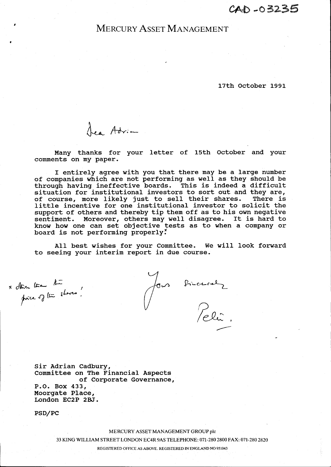## MERCURY ASSET MANAGEMENT

**17th October 1991**

Lea Adrian

**Many thanks for your letter of 15th October and your comments on my paper.**

**I entirely agree with you that there may be a large number of companies which are not performing as well as they should be through having ineffective boards. This is indeed a difficult situation for institutional investors to sort out and they are, of course, more likely just to sell their shares. There is little incentive for one institutional investor to solicit the support of others and thereby tip them off as to his own negative sentiment. Moreover, others may well disagree. It is hard to know how one can set objective tests as to when a company or board is not performing** properly~

**All best wishes for your committee. We will look forward to seeing your interim report in due course.**

x other than the

*I*

•

Jon Bircuralz<br>Poli

**sir Adrian Cadbury, Committee on The Financial Aspects of Corporate Governance, P.O. Box 433, Moorgate Place, London EC2P 2BJ.**

**PSD/PC**

MERCURY ASSET MANAGEMENT GROUP pIc

33 KING WILLIAM STREET LONDON EC4R 9AS TELEPHONE: 071-280 2800 FAX: 071-280 2820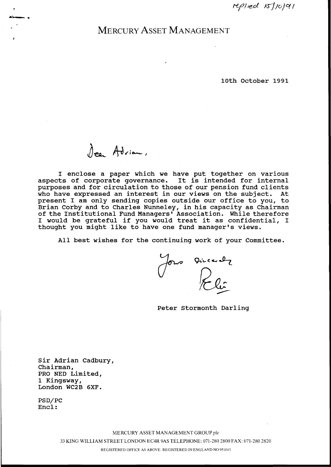replied 15/10/91

# MERCURY ASSET MANAGEMENT

#### **10th October 1991**

 $\int_{\mathcal{C}^a} A \partial_{\nu}$ ian,

**I enclose a paper which we have put together on various aspects of corporate governance. It is intended for internal purposes and for circulation to those of our pension fund clients who have expressed an interest in our views on the sUbject. At present I am only sending copies outside our office to you, to Brian Corby and to Charles Nunneley, in his capacity as Chairman of the Institutional Fund Managers' Association. While therefore I would be grateful if you would treat it as confidential, I thought you might like to have one fund manager's views.**

**All best wishes for the continuing work of your Committee.**

 $\int_{0}^{\infty}$  Directly

**Peter Stormonth Darling**

**sir Adrian Cadbury, Chairman, PRO NED Limited, 1 Kingsway, London WC2B 6XF.**

**PSD/PC Encl:**

MERCURY ASSET MANAGEMENT GROUP pic

33 KING WILLIAM STREET LONDON EC4R 9AS TELEPHONE: 071-2802800 FAX: 071-280 2820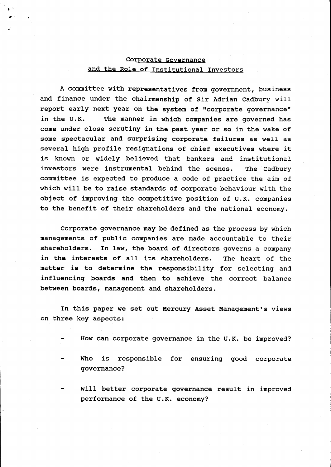### Corporate Governance and the Role of Institutional Investors

,-

..'

A committee with representatives from government, business and finance under the chairmanship of Sir Adrian Cadbury will report early next year on the system of "corporate governance" in the U.K. The manner in which companies are governed has come under close scrutiny in the past year or so in the wake of some spectacular and surprising corporate failures as well as several high profile resignations of chief executives where it is known or widely believed that bankers and institutional investors were instrumental behind the scenes. The Cadbury committee is expected to produce a code of practice the aim of which will be to raise standards of corporate behaviour with the object of improving the competitive position of U.K. companies to the benefit of their shareholders and the national economy.

Corporate governance may be defined as the process by which managements of public companies are made accountable to their shareholders. In law, the board of directors governs a company in the interests of all its shareholders. The heart of the matter is to determine the responsibility for selecting and influencing boards and then to achieve the correct balance between boards, management and shareholders.

In this paper we set out Mercury Asset Management's views on three key aspects:

- How can corporate governance in the U.K. be improved?
- Who is responsible for ensuring good corporate governance?
- will better corporate governance result in improved performance of the U.K. economy?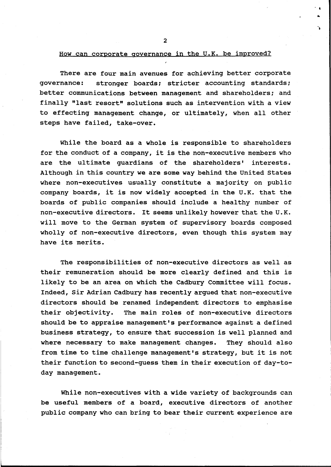2

- .

••

••

#### How can corporate governance in the U.K. be improved?

There are four main avenues for achieving better corporate governance: stronger boards; stricter accounting standards; better communications between management and shareholders; and finally "last resort" solutions such as intervention with a view to effecting management change, or ultimately, when all other steps have failed, take-over.

While the board as a whole is responsible to shareholders for the conduct of a company, it is the non-executive members who are the ultimate guardians of the shareholders' interests. Although in this country we are some way behind the united states where non-executives usually constitute a majority on public company boards, it is now widely accepted in the U.K. that the boards of public companies should include a healthy number of non-executive directors. It seems unlikely however that the U.K. will move to the German system of supervisory boards composed wholly of non-executive directors, even though this system may have its merits.

The responsibilities of non-executive directors as well as their remuneration should be more clearly defined and this is likely to be an area on which the Cadbury Committee will focus. Indeed, Sir Adrian Cadbury has recently argued that non-executive directors should be renamed independent directors to emphasise their objectivity. The main roles of non-executive directors should be to appraise management's performance against a defined business strategy, to ensure that succession is well planned and where necessary to make management changes. They should also from time to time challenge management's strategy, but it is not their function to second-guess them in their execution of day-today management.

While non-executives with a wide variety of backgrounds can be useful members of a board, executive directors of another public company who can bring to bear their current experience are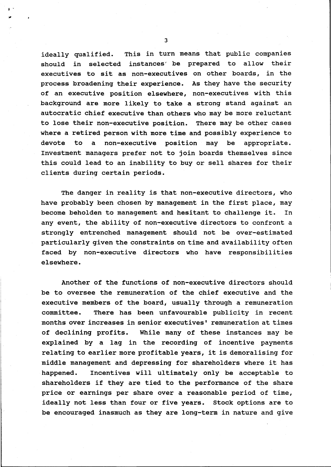ideally qualified. This in turn means that public companies should in selected instances' be prepared to allow their executives to sit as non-executives on other boards, in the process broadening their experience. As they have the security of an executive position elsewhere, non-executives with this background are more likely to take a strong stand against an autocratic chief executive than others who may be more reluctant to lose their non-executive position. There may be other cases where a retired person with more time and possibly experience to devote to a non-executive position may be appropriate. Investment managers prefer not to join boards themselves since this could lead to an inability to buy or sell shares for their clients during certain periods.

The danger in reality is that non-executive directors, who have probably been chosen by management in the first place, may become beholden to management and hesitant to challenge it. In any event, the ability of non-executive directors to confront a strongly entrenched management should not be over-estimated particularly given the constraints on time and availability often faced by non-executive directors who have responsibilities elsewhere.

Another of the functions of non-executive directors should be to oversee the remuneration of the chief executive and the executive members of the board, usually through a remuneration committee. There has been unfavourable publicity in recent months over increases in senior executives' remuneration at times of declining profits. While many of these instances may be explained by a lag in the recording of incentive payments relating to earlier more profitable years, it is demoralising for middle management and depressing for shareholders where it has happened. Incentives will Ultimately only be acceptable to shareholders if they are tied to the performance of the share price or earnings per share over a reasonable period of time, ideally not less than four or five years. stock options are to be encouraged inasmuch as they are long-term in nature and give

3

 $\mathbf{I}$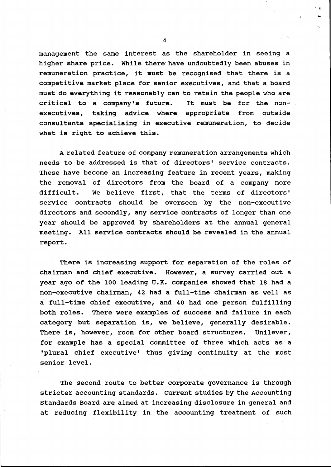management the same interest as the shareholder in seeing a higher share price. While there'have undoubtedly been abuses in remuneration practice, it must be recognised that there is a competitive market place for senior executives, and that a board must do everything it reasonably can to retain the people who are critical to a company's future. It must be for the nonexecutives, taking advice where appropriate from outside consultants specialising in executive remuneration, to decide what is right to achieve this.

A related feature of company remuneration arrangements which needs to be addressed is that of directors' service contracts. These have become an increasing feature in recent years, making the removal of directors from the board of a company more difficult. We believe first, that the terms of directors' service contracts should be overseen by the non-executive directors and secondly, any service contracts of longer than one year should be approved by shareholders at the annual general meeting. All service contracts should be revealed in the annual report.

There is increasing support for separation of the roles of chairman and chief executive. However, a survey carried out a year ago of the 100 leading U.K. companies showed that 18 had a non-executive chairman, 42 had a full-time chairman as well as a full-time chief executive, and 40 had one person fUlfilling both roles. There were examples of success and failure in each category but separation is, we believe, generally desirable. There is, however, room for other board structures. Unilever, for example has a special committee of three which acts as a 'plural chief executive' thus giving continuity at the most senior level.

The second route to better corporate governance is through stricter accounting standards. Current studies by the Accounting Standards Board are aimed at increasing disclosure in general and at reducing flexibility in the accounting treatment of such

4

· I •..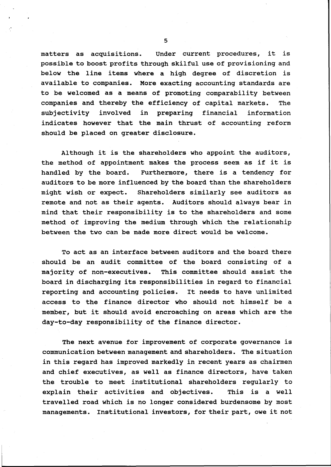matters as acquisitions. Under current procedures, it is possible to boost profits through skilful use of provisioning and below the line items where a high degree of discretion is available to companies. More exacting accounting standards are to be welcomed as a means of promoting comparability between companies and thereby the efficiency of capital markets. The subjectivity involved in preparing financial information indicates however that the main thrust of accounting reform should be placed on greater disclosure.

Although it is the shareholders who appoint the auditors, the method of appointment makes the process seem as if it is handled by the board. Furthermore, there is a tendency for auditors to be more influenced by the board than the shareholders might wish or expect. Shareholders similarly see auditors as remote and not as their agents. Auditors should always bear in mind that their responsibility is to the shareholders and some method of improving the medium through which the relationship between the two can be made more direct would be welcome.

To act as an interface between auditors and the board there should be an audit committee of the board consisting of a majority of non-executives. This committee should assist the board in discharging its responsibilities in regard to financial reporting and accounting policies. It needs to have unlimited access to the finance director who should not himself be a member, but it should avoid encroaching on areas which are the day-to-day responsibility of the finance director.

The next avenue for improvement of corporate governance is communication between management and shareholders. The situation in this regard has improved markedly in recent years as chairmen and chief executives, as well as finance directors, have taken the trouble to meet institutional shareholders regularly to explain their activities and objectives. This is a well travelled road which is no longer considered burdensome by most managements. Institutional investors, for their part, owe it not

5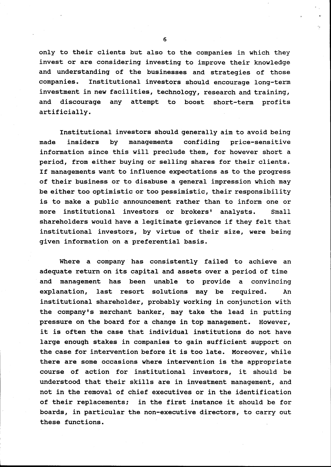only to their clients but also to the companies in which they invest or are considering investing to improve their knowledge and understanding of the businesses and strategies of those companies. Institutional investors should encourage long-term investment in new facilities, technology, research and training, and discourage any attempt to boost short-term profits artificially.

Institutional investors should generally aim to avoid being made insiders by managements confiding price-sensitive information since this will preclude them, for however short a period, from either buying or selling shares for their clients. If managements want to influence expectations as to the progress of their business or to disabuse a general impression which may be either too optimistic or too pessimistic, their responsibility is to make a public announcement rather than to inform one or more institutional investors or brokers' analysts. Small shareholders would have a legitimate grievance if they felt that institutional investors, by virtue of their size, were being given information on a preferential basis.

Where a company has consistently failed to achieve an adequate return on its capital and assets over a period of time and management has been unable to provide a convincing explanation, last resort solutions may be required. An institutional shareholder, probably working in conjunction with the company's merchant banker, may take the lead in putting pressure on the board for a change in top management. However, it is often the case that individual institutions do not have large enough stakes in companies to gain sufficient support on the case for intervention before it is too late. Moreover, while there are some occasions where intervention is the appropriate course of action for institutional investors, it should be understood that their skills are in investment management, and not in the removal of chief executives or in the identification of their replacements; in the first instance it should be for boards, in partiCUlar the non-executive directors, to carry out these functions.

6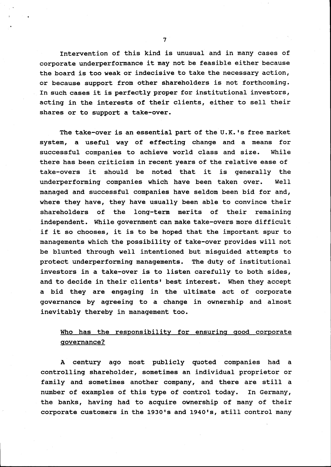Intervention of this kind is unusual and in many cases of corporate underperformance it may not be feasible either because the board is too weak or indecisive to take the necessary action, or because support from other shareholders is not forthcoming. In such cases it is perfectly proper for institutional investors, acting in the interests of their clients, either to sell their shares or to support a take-over.

The take-over is an essential part of the U.K. 's free market system, a useful way of effecting change and a means for successful companies to achieve world class and size. While there has been criticism in recent years of the relative ease of take-overs it should be noted that it is generally the underperforming companies which have been taken over. Well managed and successful companies have seldom been bid for and, where they have, they have usually been able to convince their shareholders of the long-term merits of their remaining independent. While government can make take-overs more difficult if it so chooses, it is to be hoped that the important spur to managements which the possibility of take-over provides will not be blunted through well intentioned but misguided attempts to protect underperforming managements. The duty of institutional investors in a take-over is to listen carefully to both sides, and to decide in their clients' best interest. When they accept a bid they are engaging in the ultimate act of corporate governance by agreeing to a change in ownership and almost inevitably thereby in management too.

### Who has the responsibility for ensuring good corporate governance?

A century ago most publicly quoted companies had a controlling shareholder, sometimes an individual proprietor or family and sometimes another company, and there are still a number of examples of this type of control today. In Germany, the banks, having had to acquire ownership of many of their corporate customers in the 1930's and 1940's, still control many

7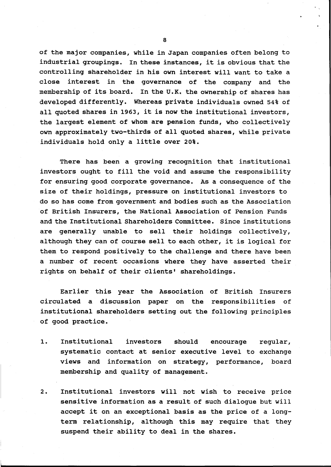of the major companies, while in Japan companies often belong to industrial groupings. In these instances, it is obvious that the controlling shareholder in his own interest will want to take a close interest in the governance of the company and the membership of its board. In the U.K. the ownership of shares has developed differently. Whereas private individuals owned 54% of all quoted shares in 1963, it is now the institutional investors, the largest element of whom are pension funds, who collectively own approximately two-thirds of all quoted shares, while private individuals hold only a little over 20%.

There has been a growing recognition that institutional investors ought to fill the void and assume the responsibility for ensuring good corporate governance. As a consequence of the size of their holdings, pressure on institutional investors to do so has come from government and bodies such as the Association of British Insurers, the National Association of Pension Funds and the Institutional Shareholders Committee. Since institutions are generally unable to sell their holdings collectively, although they can of course sell to each other, it is logical for them to respond positively to the challenge and there have been a number of recent occasions where they have asserted their rights on behalf of their clients' shareholdings.

Earlier this year the Association of British Insurers circulated a discussion paper on the responsibilities of institutional shareholders setting out the following principles of good practice.

- 1. Institutional investors should encourage regular, systematic contact at senior executive level to exchange views and information on strategy, performance, board membership and quality of management.
- 2. Institutional investors will not wish to receive price sensitive information as a result of such dialogue but will accept it on an exceptional basis as the price of a longterm relationship, although this may require that they suspend their ability to deal in the shares.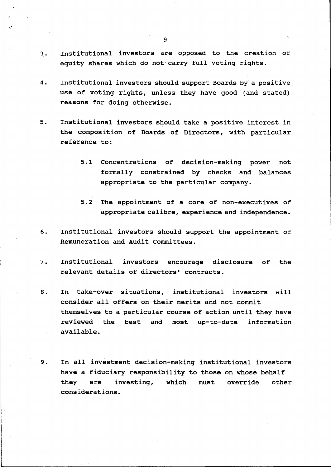- 3. Institutional investors are opposed to the creation of equity shares which do not'carry full voting rights.
- 4. Institutional investors should support Boards by a positive use of voting rights, unless they have good (and stated) reasons for doing otherwise.
- 5. Institutional investors should take a positive interest in the composition of Boards of Directors, with particular reference to:
	- 5.1 Concentrations of decision-making power not formally constrained by checks and balances appropriate to the particular company.
	- 5.2 The appointment of a core of non-executives of appropriate calibre, experience and independence.
- 6. Institutional investors should support the appointment of Remuneration and Audit Committees.
- 7. Institutional investors encourage disclosure of the relevant details of directors' contracts.
- 8. In take-over situations, institutional investors will consider all offers on their merits and not commit themselves to a particular course of action until they have reviewed the best and most up-to-date information available.
- 9. In all investment decision-making institutional investors have a fiduciary responsibility to those on whose behalf they are investing, which must override other considerations.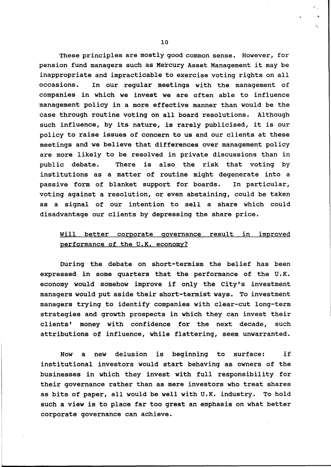These principles are mostly good common sense. However, for pension fund managers such as Mercury Asset Management it may be inappropriate and impracticable to exercise voting rights on all occasions. In our regular meetings with the management of companies in which we invest we are often able to influence management policy in a more effective manner than would be the case through routine voting on all board resolutions. Although such influence, by its nature, is rarely publicised, it is our policy to raise issues of concern to us and our clients at these meetings and we believe that differences over management policy are more likely to be resolved in private discussions than in public debate. There is also the risk that voting by institutions as a matter of routine might degenerate into a passive form of blanket support for boards. In particular, voting against a resolution, or even abstaining, could be taken as a signal of our intention to sell a share which could disadvantage our clients by depressing the share price.

#### will better corporate governance result in improved performance of the U.K. economy?

During the debate on short-termism the belief has been expressed in some quarters that the performance of the U.K. economy would somehow improve if only the city's investment managers would put aside their short-termist ways. To investment managers trying to identify companies with clear-cut long-term strategies and growth prospects in which they can invest their clients' money with confidence for the next decade, such attributions of influence, while flattering, seem unwarranted.

Now a new delusion is beginning to surface: if institutional investors would start behaving as owners of the businesses in which they invest with full responsibility for their governance rather than as mere investors who treat shares as bits of paper, all would be well with U.K. industry. To hold such a view is to place far too great an emphasis on what better corporate governance can achieve.

..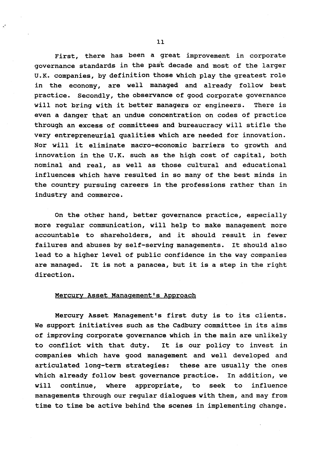First, there has been a great improvement in corporate governance standards in the past decade and most of the larger U.K. companies, by definition those which play the greatest role in the economy, are well managed and already follow best practice. Secondly, the observance of good corporate governance will not bring with it better managers or engineers. There is even a danger that an undue concentration on codes of practice through an excess of committees and bureaucracy will stifle the very entrepreneurial qualities which are needed for innovation. Nor will it eliminate macro-economic barriers to growth and innovation in the U.K. such as the high cost of capital, both nominal and real, as well as those cultural and educational influences which have resulted in so many of the best minds in the country pursuing careers in the professions rather than in industry and commerce.

On the other hand, better governance practice, especially more regular communication, will help to make management more accountable to shareholders, and it should result in fewer failures and abuses by self-serving managements. It should also lead to a higher level of public confidence in the way companies are managed. It is not a panacea, but it is a step in the right direction.

#### Mercury Asset Management's Approach

Mercury Asset Management's first duty is to its clients. We support initiatives such as the Cadbury committee in its aims of improving corporate governance which in the main are unlikely to conflict with that duty. It is our policy to invest in companies which have good management and well developed and articulated long-term strategies: these are usually the ones which already follow best governance practice. In addition, we will continue, where appropriate, to seek to influence managements through our regular dialogues with them, and may from time to time be active behind the scenes in implementing change.